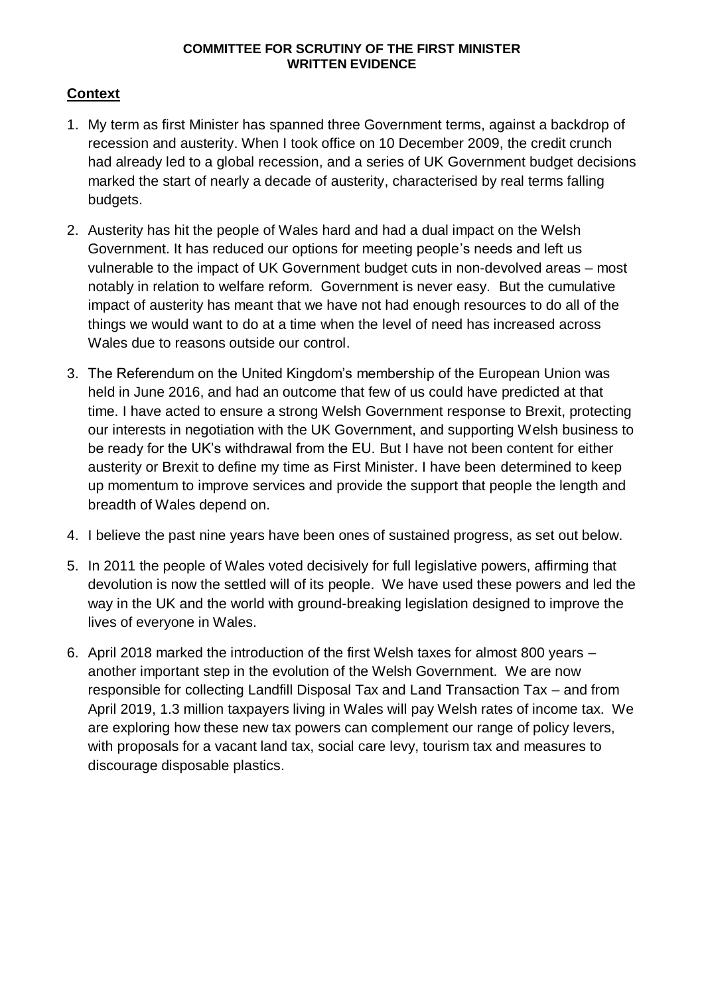# **Context**

- 1. My term as first Minister has spanned three Government terms, against a backdrop of recession and austerity. When I took office on 10 December 2009, the credit crunch had already led to a global recession, and a series of UK Government budget decisions marked the start of nearly a decade of austerity, characterised by real terms falling budgets.
- 2. Austerity has hit the people of Wales hard and had a dual impact on the Welsh Government. It has reduced our options for meeting people's needs and left us vulnerable to the impact of UK Government budget cuts in non-devolved areas – most notably in relation to welfare reform. Government is never easy. But the cumulative impact of austerity has meant that we have not had enough resources to do all of the things we would want to do at a time when the level of need has increased across Wales due to reasons outside our control.
- 3. The Referendum on the United Kingdom's membership of the European Union was held in June 2016, and had an outcome that few of us could have predicted at that time. I have acted to ensure a strong Welsh Government response to Brexit, protecting our interests in negotiation with the UK Government, and supporting Welsh business to be ready for the UK's withdrawal from the EU. But I have not been content for either austerity or Brexit to define my time as First Minister. I have been determined to keep up momentum to improve services and provide the support that people the length and breadth of Wales depend on.
- 4. I believe the past nine years have been ones of sustained progress, as set out below.
- 5. In 2011 the people of Wales voted decisively for full legislative powers, affirming that devolution is now the settled will of its people. We have used these powers and led the way in the UK and the world with ground-breaking legislation designed to improve the lives of everyone in Wales.
- 6. April 2018 marked the introduction of the first Welsh taxes for almost 800 years another important step in the evolution of the Welsh Government. We are now responsible for collecting Landfill Disposal Tax and Land Transaction Tax – and from April 2019, 1.3 million taxpayers living in Wales will pay Welsh rates of income tax. We are exploring how these new tax powers can complement our range of policy levers, with proposals for a vacant land tax, social care levy, tourism tax and measures to discourage disposable plastics.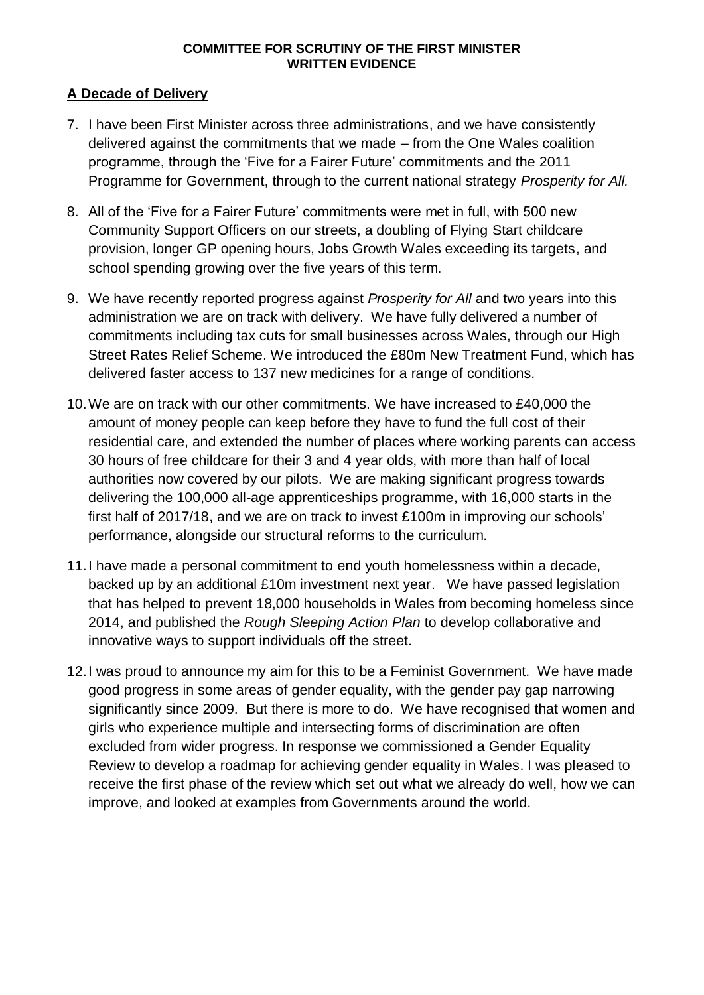### **A Decade of Delivery**

- 7. I have been First Minister across three administrations, and we have consistently delivered against the commitments that we made – from the One Wales coalition programme, through the 'Five for a Fairer Future' commitments and the 2011 Programme for Government, through to the current national strategy *Prosperity for All.*
- 8. All of the 'Five for a Fairer Future' commitments were met in full, with 500 new Community Support Officers on our streets, a doubling of Flying Start childcare provision, longer GP opening hours, Jobs Growth Wales exceeding its targets, and school spending growing over the five years of this term.
- 9. We have recently reported progress against *Prosperity for All* and two years into this administration we are on track with delivery. We have fully delivered a number of commitments including tax cuts for small businesses across Wales, through our High Street Rates Relief Scheme. We introduced the £80m New Treatment Fund, which has delivered faster access to 137 new medicines for a range of conditions.
- 10.We are on track with our other commitments. We have increased to £40,000 the amount of money people can keep before they have to fund the full cost of their residential care, and extended the number of places where working parents can access 30 hours of free childcare for their 3 and 4 year olds, with more than half of local authorities now covered by our pilots. We are making significant progress towards delivering the 100,000 all-age apprenticeships programme, with 16,000 starts in the first half of 2017/18, and we are on track to invest £100m in improving our schools' performance, alongside our structural reforms to the curriculum.
- 11.I have made a personal commitment to end youth homelessness within a decade, backed up by an additional £10m investment next year. We have passed legislation that has helped to prevent 18,000 households in Wales from becoming homeless since 2014, and published the *Rough Sleeping Action Plan* to develop collaborative and innovative ways to support individuals off the street.
- 12.I was proud to announce my aim for this to be a Feminist Government. We have made good progress in some areas of gender equality, with the gender pay gap narrowing significantly since 2009. But there is more to do. We have recognised that women and girls who experience multiple and intersecting forms of discrimination are often excluded from wider progress. In response we commissioned a Gender Equality Review to develop a roadmap for achieving gender equality in Wales. I was pleased to receive the first phase of the review which set out what we already do well, how we can improve, and looked at examples from Governments around the world.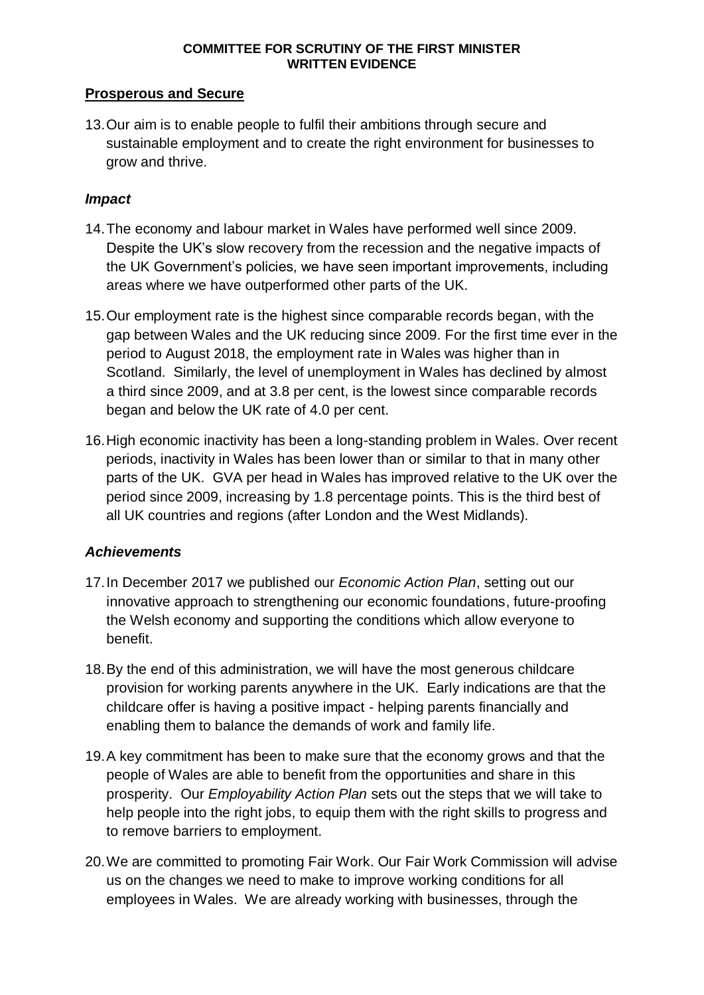### **Prosperous and Secure**

13.Our aim is to enable people to fulfil their ambitions through secure and sustainable employment and to create the right environment for businesses to grow and thrive.

## *Impact*

- 14.The economy and labour market in Wales have performed well since 2009. Despite the UK's slow recovery from the recession and the negative impacts of the UK Government's policies, we have seen important improvements, including areas where we have outperformed other parts of the UK.
- 15.Our employment rate is the highest since comparable records began, with the gap between Wales and the UK reducing since 2009. For the first time ever in the period to August 2018, the employment rate in Wales was higher than in Scotland. Similarly, the level of unemployment in Wales has declined by almost a third since 2009, and at 3.8 per cent, is the lowest since comparable records began and below the UK rate of 4.0 per cent.
- 16.High economic inactivity has been a long-standing problem in Wales. Over recent periods, inactivity in Wales has been lower than or similar to that in many other parts of the UK. GVA per head in Wales has improved relative to the UK over the period since 2009, increasing by 1.8 percentage points. This is the third best of all UK countries and regions (after London and the West Midlands).

### *Achievements*

- 17.In December 2017 we published our *Economic Action Plan*, setting out our innovative approach to strengthening our economic foundations, future-proofing the Welsh economy and supporting the conditions which allow everyone to benefit.
- 18.By the end of this administration, we will have the most generous childcare provision for working parents anywhere in the UK. Early indications are that the childcare offer is having a positive impact - helping parents financially and enabling them to balance the demands of work and family life.
- 19.A key commitment has been to make sure that the economy grows and that the people of Wales are able to benefit from the opportunities and share in this prosperity. Our *Employability Action Plan* sets out the steps that we will take to help people into the right jobs, to equip them with the right skills to progress and to remove barriers to employment.
- 20.We are committed to promoting Fair Work. Our Fair Work Commission will advise us on the changes we need to make to improve working conditions for all employees in Wales. We are already working with businesses, through the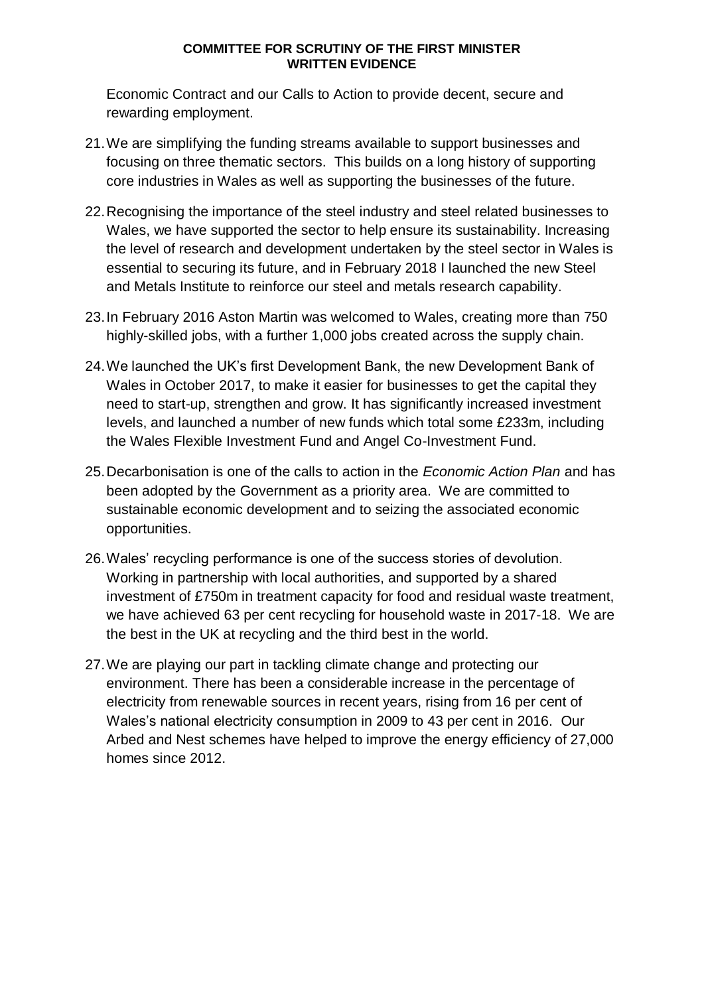Economic Contract and our Calls to Action to provide decent, secure and rewarding employment.

- 21.We are simplifying the funding streams available to support businesses and focusing on three thematic sectors. This builds on a long history of supporting core industries in Wales as well as supporting the businesses of the future.
- 22.Recognising the importance of the steel industry and steel related businesses to Wales, we have supported the sector to help ensure its sustainability. Increasing the level of research and development undertaken by the steel sector in Wales is essential to securing its future, and in February 2018 I launched the new Steel and Metals Institute to reinforce our steel and metals research capability.
- 23.In February 2016 Aston Martin was welcomed to Wales, creating more than 750 highly-skilled jobs, with a further 1,000 jobs created across the supply chain.
- 24.We launched the UK's first Development Bank, the new Development Bank of Wales in October 2017, to make it easier for businesses to get the capital they need to start-up, strengthen and grow. It has significantly increased investment levels, and launched a number of new funds which total some £233m, including the Wales Flexible Investment Fund and Angel Co-Investment Fund.
- 25.Decarbonisation is one of the calls to action in the *Economic Action Plan* and has been adopted by the Government as a priority area. We are committed to sustainable economic development and to seizing the associated economic opportunities.
- 26.Wales' recycling performance is one of the success stories of devolution. Working in partnership with local authorities, and supported by a shared investment of £750m in treatment capacity for food and residual waste treatment, we have achieved 63 per cent recycling for household waste in 2017-18. We are the best in the UK at recycling and the third best in the world.
- 27.We are playing our part in tackling climate change and protecting our environment. There has been a considerable increase in the percentage of electricity from renewable sources in recent years, rising from 16 per cent of Wales's national electricity consumption in 2009 to 43 per cent in 2016. Our Arbed and Nest schemes have helped to improve the energy efficiency of 27,000 homes since 2012.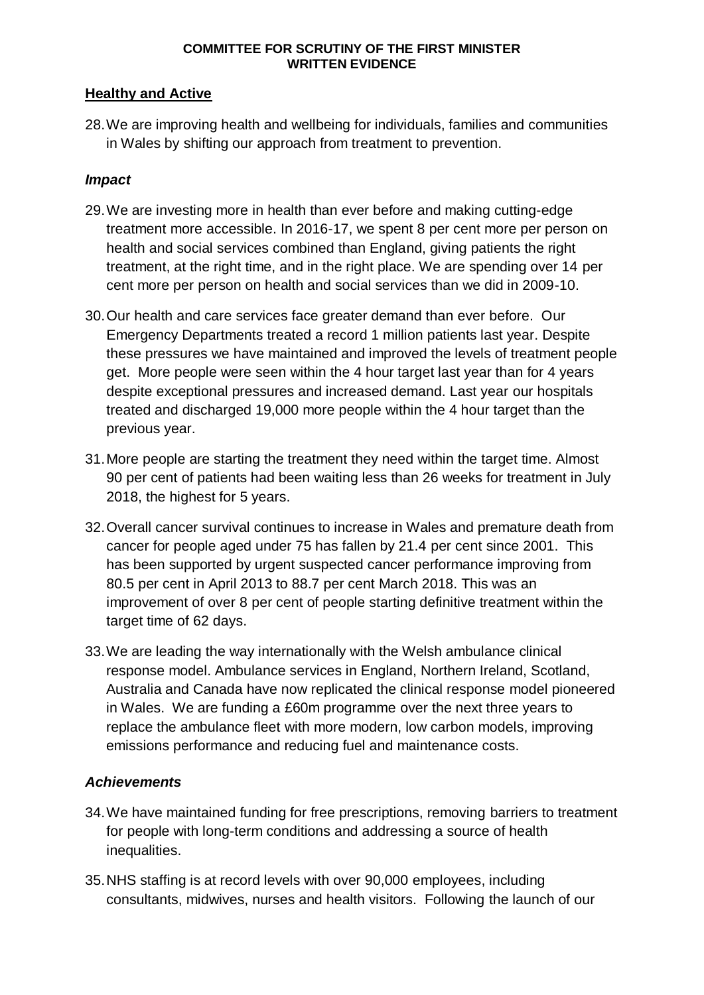### **Healthy and Active**

28.We are improving health and wellbeing for individuals, families and communities in Wales by shifting our approach from treatment to prevention.

## *Impact*

- 29.We are investing more in health than ever before and making cutting-edge treatment more accessible. In 2016-17, we spent 8 per cent more per person on health and social services combined than England, giving patients the right treatment, at the right time, and in the right place. We are spending over 14 per cent more per person on health and social services than we did in 2009-10.
- 30.Our health and care services face greater demand than ever before. Our Emergency Departments treated a record 1 million patients last year. Despite these pressures we have maintained and improved the levels of treatment people get. More people were seen within the 4 hour target last year than for 4 years despite exceptional pressures and increased demand. Last year our hospitals treated and discharged 19,000 more people within the 4 hour target than the previous year.
- 31.More people are starting the treatment they need within the target time. Almost 90 per cent of patients had been waiting less than 26 weeks for treatment in July 2018, the highest for 5 years.
- 32.Overall cancer survival continues to increase in Wales and premature death from cancer for people aged under 75 has fallen by 21.4 per cent since 2001. This has been supported by urgent suspected cancer performance improving from 80.5 per cent in April 2013 to 88.7 per cent March 2018. This was an improvement of over 8 per cent of people starting definitive treatment within the target time of 62 days.
- 33.We are leading the way internationally with the Welsh ambulance clinical response model. Ambulance services in England, Northern Ireland, Scotland, Australia and Canada have now replicated the clinical response model pioneered in Wales. We are funding a £60m programme over the next three years to replace the ambulance fleet with more modern, low carbon models, improving emissions performance and reducing fuel and maintenance costs.

### *Achievements*

- 34.We have maintained funding for free prescriptions, removing barriers to treatment for people with long-term conditions and addressing a source of health inequalities.
- 35.NHS staffing is at record levels with over 90,000 employees, including consultants, midwives, nurses and health visitors. Following the launch of our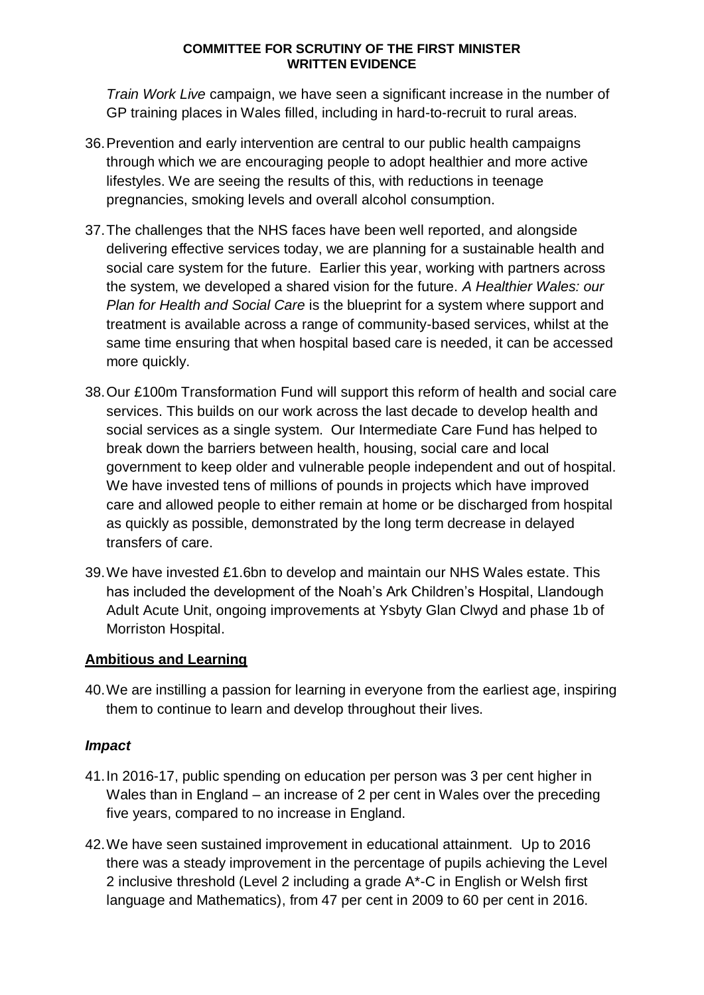*Train Work Live* campaign, we have seen a significant increase in the number of GP training places in Wales filled, including in hard-to-recruit to rural areas.

- 36.Prevention and early intervention are central to our public health campaigns through which we are encouraging people to adopt healthier and more active lifestyles. We are seeing the results of this, with reductions in teenage pregnancies, smoking levels and overall alcohol consumption.
- 37.The challenges that the NHS faces have been well reported, and alongside delivering effective services today, we are planning for a sustainable health and social care system for the future. Earlier this year, working with partners across the system, we developed a shared vision for the future. *A Healthier Wales: our Plan for Health and Social Care* is the blueprint for a system where support and treatment is available across a range of community-based services, whilst at the same time ensuring that when hospital based care is needed, it can be accessed more quickly.
- 38.Our £100m Transformation Fund will support this reform of health and social care services. This builds on our work across the last decade to develop health and social services as a single system. Our Intermediate Care Fund has helped to break down the barriers between health, housing, social care and local government to keep older and vulnerable people independent and out of hospital. We have invested tens of millions of pounds in projects which have improved care and allowed people to either remain at home or be discharged from hospital as quickly as possible, demonstrated by the long term decrease in delayed transfers of care.
- 39.We have invested £1.6bn to develop and maintain our NHS Wales estate. This has included the development of the Noah's Ark Children's Hospital, Llandough Adult Acute Unit, ongoing improvements at Ysbyty Glan Clwyd and phase 1b of Morriston Hospital.

# **Ambitious and Learning**

40.We are instilling a passion for learning in everyone from the earliest age, inspiring them to continue to learn and develop throughout their lives.

# *Impact*

- 41.In 2016-17, public spending on education per person was 3 per cent higher in Wales than in England – an increase of 2 per cent in Wales over the preceding five years, compared to no increase in England.
- 42.We have seen sustained improvement in educational attainment. Up to 2016 there was a steady improvement in the percentage of pupils achieving the Level 2 inclusive threshold (Level 2 including a grade A\*-C in English or Welsh first language and Mathematics), from 47 per cent in 2009 to 60 per cent in 2016.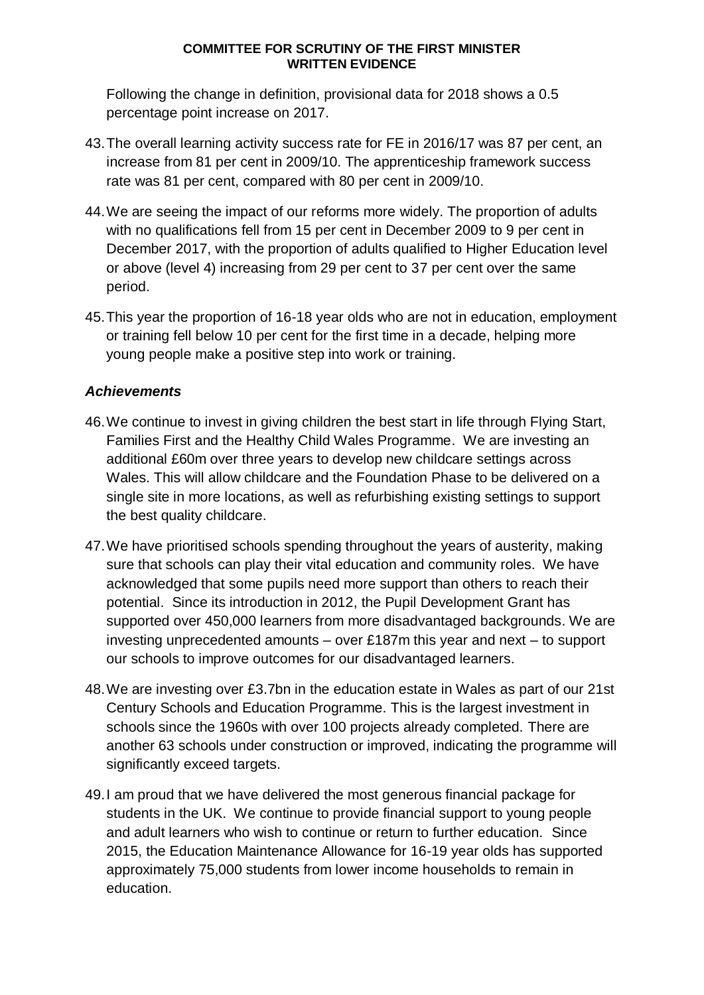Following the change in definition, provisional data for 2018 shows a 0.5 percentage point increase on 2017.

- 43.The overall learning activity success rate for FE in 2016/17 was 87 per cent, an increase from 81 per cent in 2009/10. The apprenticeship framework success rate was 81 per cent, compared with 80 per cent in 2009/10.
- 44.We are seeing the impact of our reforms more widely. The proportion of adults with no qualifications fell from 15 per cent in December 2009 to 9 per cent in December 2017, with the proportion of adults qualified to Higher Education level or above (level 4) increasing from 29 per cent to 37 per cent over the same period.
- 45.This year the proportion of 16-18 year olds who are not in education, employment or training fell below 10 per cent for the first time in a decade, helping more young people make a positive step into work or training.

# *Achievements*

- 46.We continue to invest in giving children the best start in life through Flying Start, Families First and the Healthy Child Wales Programme. We are investing an additional £60m over three years to develop new childcare settings across Wales. This will allow childcare and the Foundation Phase to be delivered on a single site in more locations, as well as refurbishing existing settings to support the best quality childcare.
- 47.We have prioritised schools spending throughout the years of austerity, making sure that schools can play their vital education and community roles. We have acknowledged that some pupils need more support than others to reach their potential. Since its introduction in 2012, the Pupil Development Grant has supported over 450,000 learners from more disadvantaged backgrounds. We are investing unprecedented amounts – over £187m this year and next – to support our schools to improve outcomes for our disadvantaged learners.
- 48.We are investing over £3.7bn in the education estate in Wales as part of our 21st Century Schools and Education Programme. This is the largest investment in schools since the 1960s with over 100 projects already completed. There are another 63 schools under construction or improved, indicating the programme will significantly exceed targets.
- 49.I am proud that we have delivered the most generous financial package for students in the UK. We continue to provide financial support to young people and adult learners who wish to continue or return to further education. Since 2015, the Education Maintenance Allowance for 16-19 year olds has supported approximately 75,000 students from lower income households to remain in education.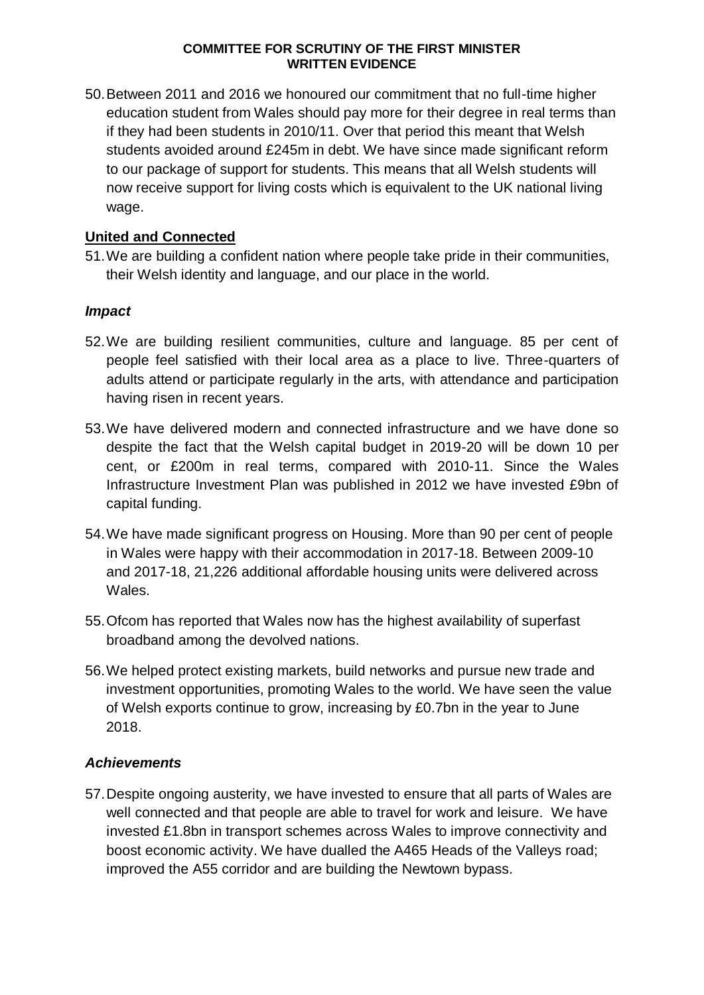50.Between 2011 and 2016 we honoured our commitment that no full-time higher education student from Wales should pay more for their degree in real terms than if they had been students in 2010/11. Over that period this meant that Welsh students avoided around £245m in debt. We have since made significant reform to our package of support for students. This means that all Welsh students will now receive support for living costs which is equivalent to the UK national living wage.

# **United and Connected**

51.We are building a confident nation where people take pride in their communities, their Welsh identity and language, and our place in the world.

### *Impact*

- 52.We are building resilient communities, culture and language. 85 per cent of people feel satisfied with their local area as a place to live. Three-quarters of adults attend or participate regularly in the arts, with attendance and participation having risen in recent years.
- 53.We have delivered modern and connected infrastructure and we have done so despite the fact that the Welsh capital budget in 2019-20 will be down 10 per cent, or £200m in real terms, compared with 2010-11. Since the Wales Infrastructure Investment Plan was published in 2012 we have invested £9bn of capital funding.
- 54.We have made significant progress on Housing. More than 90 per cent of people in Wales were happy with their accommodation in 2017-18. Between 2009-10 and 2017-18, 21,226 additional affordable housing units were delivered across Wales.
- 55.Ofcom has reported that Wales now has the highest availability of superfast broadband among the devolved nations.
- 56.We helped protect existing markets, build networks and pursue new trade and investment opportunities, promoting Wales to the world. We have seen the value of Welsh exports continue to grow, increasing by £0.7bn in the year to June 2018.

### *Achievements*

57.Despite ongoing austerity, we have invested to ensure that all parts of Wales are well connected and that people are able to travel for work and leisure. We have invested £1.8bn in transport schemes across Wales to improve connectivity and boost economic activity. We have dualled the A465 Heads of the Valleys road; improved the A55 corridor and are building the Newtown bypass.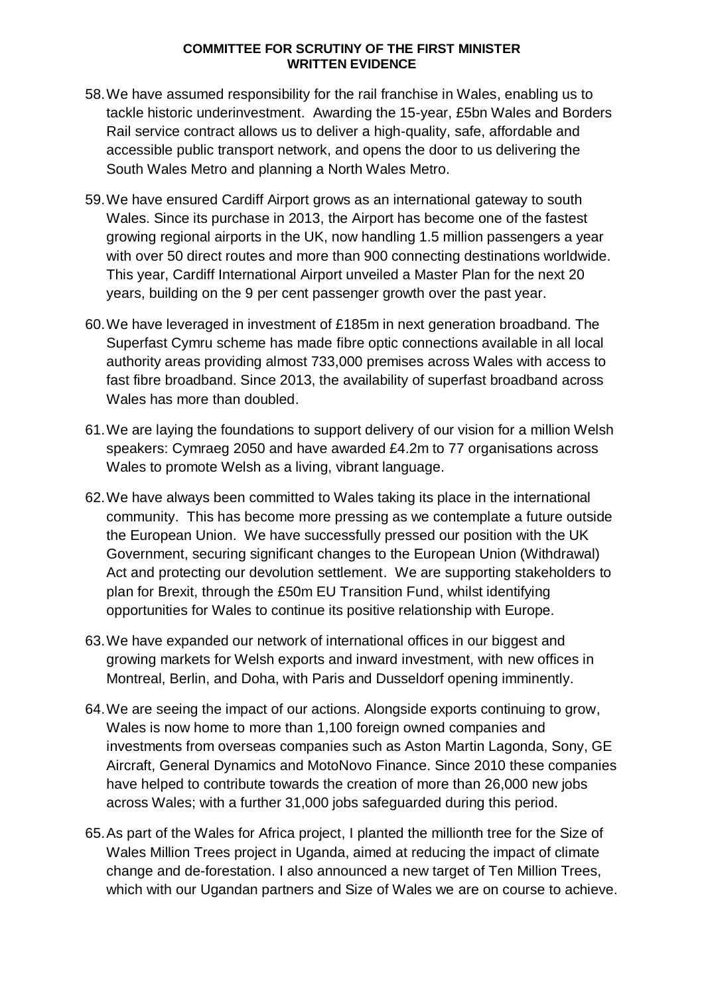- 58.We have assumed responsibility for the rail franchise in Wales, enabling us to tackle historic underinvestment. Awarding the 15-year, £5bn Wales and Borders Rail service contract allows us to deliver a high-quality, safe, affordable and accessible public transport network, and opens the door to us delivering the South Wales Metro and planning a North Wales Metro.
- 59.We have ensured Cardiff Airport grows as an international gateway to south Wales. Since its purchase in 2013, the Airport has become one of the fastest growing regional airports in the UK, now handling 1.5 million passengers a year with over 50 direct routes and more than 900 connecting destinations worldwide. This year, Cardiff International Airport unveiled a Master Plan for the next 20 years, building on the 9 per cent passenger growth over the past year.
- 60.We have leveraged in investment of £185m in next generation broadband. The Superfast Cymru scheme has made fibre optic connections available in all local authority areas providing almost 733,000 premises across Wales with access to fast fibre broadband. Since 2013, the availability of superfast broadband across Wales has more than doubled.
- 61.We are laying the foundations to support delivery of our vision for a million Welsh speakers: Cymraeg 2050 and have awarded £4.2m to 77 organisations across Wales to promote Welsh as a living, vibrant language.
- 62.We have always been committed to Wales taking its place in the international community. This has become more pressing as we contemplate a future outside the European Union. We have successfully pressed our position with the UK Government, securing significant changes to the European Union (Withdrawal) Act and protecting our devolution settlement. We are supporting stakeholders to plan for Brexit, through the £50m EU Transition Fund, whilst identifying opportunities for Wales to continue its positive relationship with Europe.
- 63.We have expanded our network of international offices in our biggest and growing markets for Welsh exports and inward investment, with new offices in Montreal, Berlin, and Doha, with Paris and Dusseldorf opening imminently.
- 64.We are seeing the impact of our actions. Alongside exports continuing to grow, Wales is now home to more than 1,100 foreign owned companies and investments from overseas companies such as Aston Martin Lagonda, Sony, GE Aircraft, General Dynamics and MotoNovo Finance. Since 2010 these companies have helped to contribute towards the creation of more than 26,000 new jobs across Wales; with a further 31,000 jobs safeguarded during this period.
- 65.As part of the Wales for Africa project, I planted the millionth tree for the Size of Wales Million Trees project in Uganda, aimed at reducing the impact of climate change and de-forestation. I also announced a new target of Ten Million Trees, which with our Ugandan partners and Size of Wales we are on course to achieve.